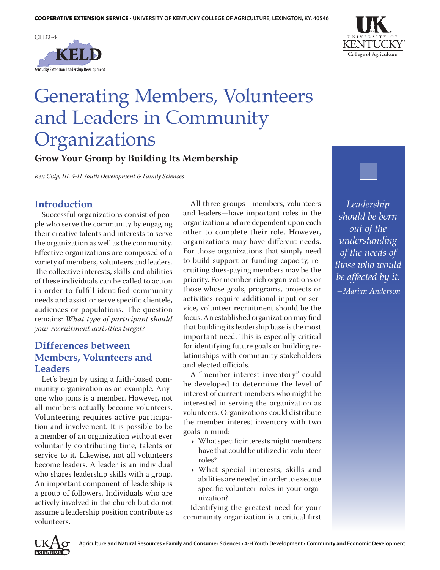



# Generating Members, Volunteers and Leaders in Community Organizations

**Grow Your Group by Building Its Membership**

*Ken Culp, III, 4-H Youth Development & Family Sciences*

#### **Introduction**

Successful organizations consist of people who serve the community by engaging their creative talents and interests to serve the organization as well as the community. Effective organizations are composed of a variety of members, volunteers and leaders. The collective interests, skills and abilities of these individuals can be called to action in order to fulfill identified community needs and assist or serve specific clientele, audiences or populations. The question remains: *What type of participant should your recruitment activities target?*

### **Differences between Members, Volunteers and Leaders**

Let's begin by using a faith-based community organization as an example. Anyone who joins is a member. However, not all members actually become volunteers. Volunteering requires active participation and involvement. It is possible to be a member of an organization without ever voluntarily contributing time, talents or service to it. Likewise, not all volunteers become leaders. A leader is an individual who shares leadership skills with a group. An important component of leadership is a group of followers. Individuals who are actively involved in the church but do not assume a leadership position contribute as volunteers.

All three groups—members, volunteers and leaders—have important roles in the organization and are dependent upon each other to complete their role. However, organizations may have different needs. For those organizations that simply need to build support or funding capacity, recruiting dues-paying members may be the priority. For member-rich organizations or those whose goals, programs, projects or activities require additional input or service, volunteer recruitment should be the focus. An established organization may find that building its leadership base is the most important need. This is especially critical for identifying future goals or building relationships with community stakeholders and elected officials.

A "member interest inventory" could be developed to determine the level of interest of current members who might be interested in serving the organization as volunteers. Organizations could distribute the member interest inventory with two goals in mind:

- • What specific interests might members have that could be utilized in volunteer roles?
- What special interests, skills and abilities are needed in order to execute specific volunteer roles in your organization?

Identifying the greatest need for your community organization is a critical first

*Leadership should be born out of the understanding of the needs of those who would be affected by it. —Marian Anderson*

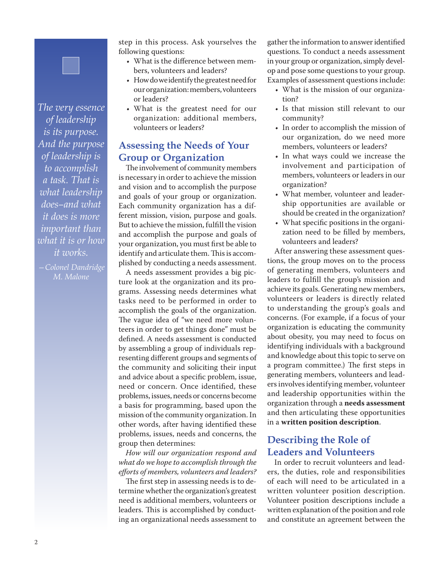*The very essence of leadership is its purpose. And the purpose of leadership is to accomplish a task. That is what leadership does–and what it does is more important than what it is or how it works.*

*—Colonel Dandridge M. Malone*

step in this process. Ask yourselves the following questions:

- What is the difference between members, volunteers and leaders?
- • How do we identify the greatest need for our organization: members, volunteers or leaders?
- What is the greatest need for our organization: additional members, volunteers or leaders?

### **Assessing the Needs of Your Group or Organization**

The involvement of community members is necessary in order to achieve the mission and vision and to accomplish the purpose and goals of your group or organization. Each community organization has a different mission, vision, purpose and goals. But to achieve the mission, fulfill the vision and accomplish the purpose and goals of your organization, you must first be able to identify and articulate them. This is accomplished by conducting a needs assessment.

A needs assessment provides a big picture look at the organization and its programs. Assessing needs determines what tasks need to be performed in order to accomplish the goals of the organization. The vague idea of "we need more volunteers in order to get things done" must be defined. A needs assessment is conducted by assembling a group of individuals representing different groups and segments of the community and soliciting their input and advice about a specific problem, issue, need or concern. Once identified, these problems, issues, needs or concerns become a basis for programming, based upon the mission of the community organization. In other words, after having identified these problems, issues, needs and concerns, the group then determines:

*How will our organization respond and what do we hope to accomplish through the efforts of members, volunteers and leaders?*

The first step in assessing needs is to determine whether the organization's greatest need is additional members, volunteers or leaders. This is accomplished by conducting an organizational needs assessment to

gather the information to answer identified questions. To conduct a needs assessment in your group or organization, simply develop and pose some questions to your group. Examples of assessment questions include:

- What is the mission of our organization?
- Is that mission still relevant to our community?
- • In order to accomplish the mission of our organization, do we need more members, volunteers or leaders?
- In what ways could we increase the involvement and participation of members, volunteers or leaders in our organization?
- • What member, volunteer and leadership opportunities are available or should be created in the organization?
- • What specific positions in the organization need to be filled by members, volunteers and leaders?

After answering these assessment questions, the group moves on to the process of generating members, volunteers and leaders to fulfill the group's mission and achieve its goals. Generating new members, volunteers or leaders is directly related to understanding the group's goals and concerns. (For example, if a focus of your organization is educating the community about obesity, you may need to focus on identifying individuals with a background and knowledge about this topic to serve on a program committee.) The first steps in generating members, volunteers and leaders involves identifying member, volunteer and leadership opportunities within the organization through a **needs assessment**  and then articulating these opportunities in a **written position description**.

# **Describing the Role of Leaders and Volunteers**

In order to recruit volunteers and leaders, the duties, role and responsibilities of each will need to be articulated in a written volunteer position description. Volunteer position descriptions include a written explanation of the position and role and constitute an agreement between the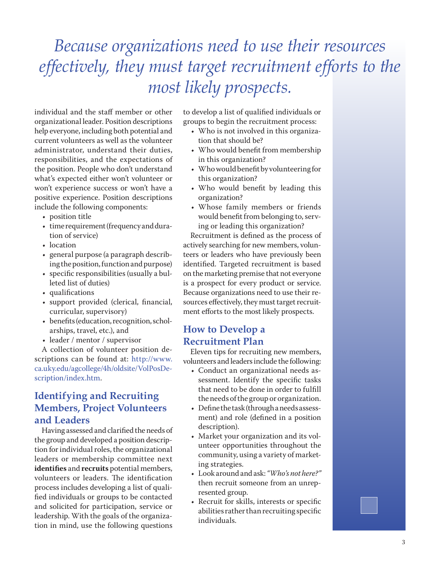# *Because organizations need to use their resources effectively, they must target recruitment efforts to the most likely prospects.*

individual and the staff member or other organizational leader. Position descriptions help everyone, including both potential and current volunteers as well as the volunteer administrator, understand their duties, responsibilities, and the expectations of the position. People who don't understand what's expected either won't volunteer or won't experience success or won't have a positive experience. Position descriptions include the following components:

- position title
- time requirement (frequency and duration of service)
- location
- • general purpose (a paragraph describing the position, function and purpose)
- • specific responsibilities (usually a bulleted list of duties)
- • qualifications
- • support provided (clerical, financial, curricular, supervisory)
- benefits (education, recognition, scholarships, travel, etc.), and
- leader / mentor / supervisor

A collection of volunteer position descriptions can be found at: [http://www.](http://www.ca.uky.edu/agcollege/4h/oldsite/VolPosDescription/index.htm) [ca.uky.edu/agcollege/4h/oldsite/VolPosDe](http://www.ca.uky.edu/agcollege/4h/oldsite/VolPosDescription/index.htm)[scription/index.htm.](http://www.ca.uky.edu/agcollege/4h/oldsite/VolPosDescription/index.htm)

# **Identifying and Recruiting Members, Project Volunteers and Leaders**

Having assessed and clarified the needs of the group and developed a position description for individual roles, the organizational leaders or membership committee next **identifies** and **recruits** potential members, volunteers or leaders. The identification process includes developing a list of qualified individuals or groups to be contacted and solicited for participation, service or leadership. With the goals of the organization in mind, use the following questions

to develop a list of qualified individuals or groups to begin the recruitment process:

- Who is not involved in this organization that should be?
- Who would benefit from membership in this organization?
- • Who would benefit by volunteering for this organization?
- Who would benefit by leading this organization?
- • Whose family members or friends would benefit from belonging to, serving or leading this organization?

Recruitment is defined as the process of actively searching for new members, volunteers or leaders who have previously been identified. Targeted recruitment is based on the marketing premise that not everyone is a prospect for every product or service. Because organizations need to use their resources effectively, they must target recruitment efforts to the most likely prospects.

# **How to Develop a Recruitment Plan**

Eleven tips for recruiting new members, volunteers and leaders include the following:

- Conduct an organizational needs assessment. Identify the specific tasks that need to be done in order to fulfill the needs of the group or organization.
- • Define the task (through a needs assessment) and role (defined in a position description).
- Market your organization and its volunteer opportunities throughout the community, using a variety of marketing strategies.
- • Look around and ask: *"Who's not here?"* then recruit someone from an unrepresented group.
- • Recruit for skills, interests or specific abilities rather than recruiting specific individuals.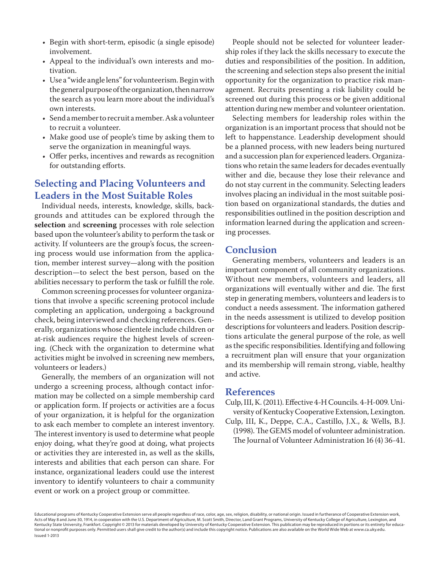- Begin with short-term, episodic (a single episode) involvement.
- Appeal to the individual's own interests and motivation.
- Use a "wide angle lens" for volunteerism. Begin with the general purpose of the organization, then narrow the search as you learn more about the individual's own interests.
- • Send a member to recruit a member. Ask a volunteer to recruit a volunteer.
- Make good use of people's time by asking them to serve the organization in meaningful ways.
- • Offer perks, incentives and rewards as recognition for outstanding efforts.

# **Selecting and Placing Volunteers and Leaders in the Most Suitable Roles**

Individual needs, interests, knowledge, skills, backgrounds and attitudes can be explored through the **selection** and **screening** processes with role selection based upon the volunteer's ability to perform the task or activity. If volunteers are the group's focus, the screening process would use information from the application, member interest survey—along with the position description—to select the best person, based on the abilities necessary to perform the task or fulfill the role.

Common screening processes for volunteer organizations that involve a specific screening protocol include completing an application, undergoing a background check, being interviewed and checking references. Generally, organizations whose clientele include children or at-risk audiences require the highest levels of screening. (Check with the organization to determine what activities might be involved in screening new members, volunteers or leaders.)

Generally, the members of an organization will not undergo a screening process, although contact information may be collected on a simple membership card or application form. If projects or activities are a focus of your organization, it is helpful for the organization to ask each member to complete an interest inventory. The interest inventory is used to determine what people enjoy doing, what they're good at doing, what projects or activities they are interested in, as well as the skills, interests and abilities that each person can share. For instance, organizational leaders could use the interest inventory to identify volunteers to chair a community event or work on a project group or committee.

People should not be selected for volunteer leadership roles if they lack the skills necessary to execute the duties and responsibilities of the position. In addition, the screening and selection steps also present the initial opportunity for the organization to practice risk management. Recruits presenting a risk liability could be screened out during this process or be given additional attention during new member and volunteer orientation.

Selecting members for leadership roles within the organization is an important process that should not be left to happenstance. Leadership development should be a planned process, with new leaders being nurtured and a succession plan for experienced leaders. Organizations who retain the same leaders for decades eventually wither and die, because they lose their relevance and do not stay current in the community. Selecting leaders involves placing an individual in the most suitable position based on organizational standards, the duties and responsibilities outlined in the position description and information learned during the application and screening processes.

#### **Conclusion**

Generating members, volunteers and leaders is an important component of all community organizations. Without new members, volunteers and leaders, all organizations will eventually wither and die. The first step in generating members, volunteers and leaders is to conduct a needs assessment. The information gathered in the needs assessment is utilized to develop position descriptions for volunteers and leaders. Position descriptions articulate the general purpose of the role, as well as the specific responsibilities. Identifying and following a recruitment plan will ensure that your organization and its membership will remain strong, viable, healthy and active.

#### **References**

- Culp, III, K. (2011). Effective 4-H Councils. 4-H-009. University of Kentucky Cooperative Extension, Lexington.
- Culp, III, K., Deppe, C.A., Castillo, J.X., & Wells, B.J. (1998). The GEMS model of volunteer administration. The Journal of Volunteer Administration 16 (4) 36-41.

Issued 1-2013 Educational programs of Kentucky Cooperative Extension serve all people regardless of race, color, age, sex, religion, disability, or national origin. Issued in furtherance of Cooperative Extension work, Acts of May 8 and June 30, 1914, in cooperation with the U.S. Department of Agriculture, M. Scott Smith, Director, Land Grant Programs, University of Kentucky College of Agriculture, Lexington, and Kentucky State University, Frankfort. Copyright © 2013 for materials developed by University of Kentucky Cooperative Extension. This publication may be reproduced in portions or its entirety for educational or nonprofit purposes only. Permitted users shall give credit to the author(s) and include this copyright notice. Publications are also available on the World Wide Web at www.ca.uky.edu.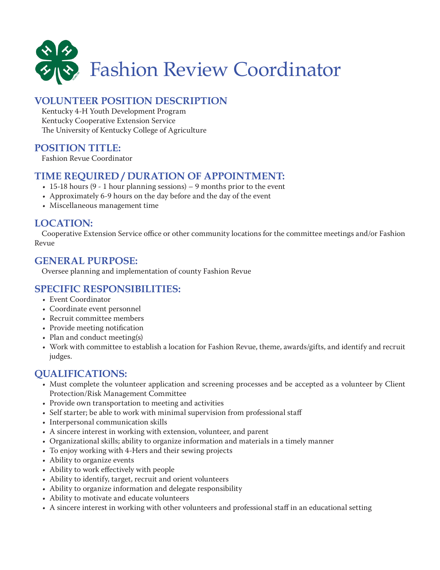

# **VOLUNTEER POSITION DESCRIPTION**

Kentucky 4-H Youth Development Program Kentucky Cooperative Extension Service The University of Kentucky College of Agriculture

# **POSITION TITLE:**

Fashion Revue Coordinator

# **TIME REQUIRED / DURATION OF APPOINTMENT:**

- $\cdot$  15-18 hours (9 1 hour planning sessions) 9 months prior to the event
- Approximately 6-9 hours on the day before and the day of the event
- Miscellaneous management time

### **LOCATION:**

Cooperative Extension Service office or other community locations for the committee meetings and/or Fashion Revue

#### **GENERAL PURPOSE:**

Oversee planning and implementation of county Fashion Revue

# **SPECIFIC RESPONSIBILITIES:**

- • Event Coordinator
- • Coordinate event personnel
- • Recruit committee members
- Provide meeting notification
- Plan and conduct meeting(s)
- • Work with committee to establish a location for Fashion Revue, theme, awards/gifts, and identify and recruit judges.

### **QUALIFICATIONS:**

- • Must complete the volunteer application and screening processes and be accepted as a volunteer by Client Protection/Risk Management Committee
- Provide own transportation to meeting and activities
- Self starter; be able to work with minimal supervision from professional staff
- Interpersonal communication skills
- • A sincere interest in working with extension, volunteer, and parent
- • Organizational skills; ability to organize information and materials in a timely manner
- • To enjoy working with 4-Hers and their sewing projects
- Ability to organize events
- • Ability to work effectively with people
- • Ability to identify, target, recruit and orient volunteers
- Ability to organize information and delegate responsibility
- • Ability to motivate and educate volunteers
- • A sincere interest in working with other volunteers and professional staff in an educational setting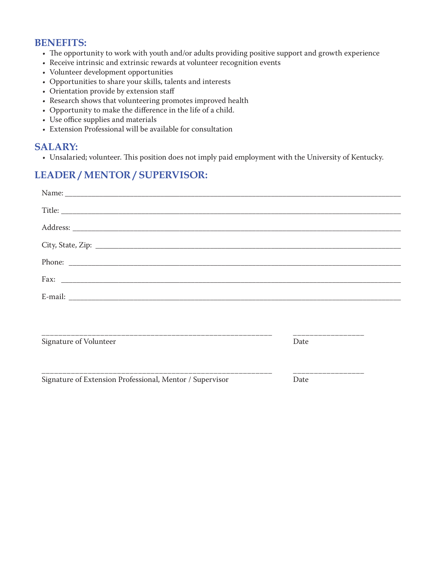# **BENEFITS:**

- The opportunity to work with youth and/or adults providing positive support and growth experience
- Receive intrinsic and extrinsic rewards at volunteer recognition events
- • Volunteer development opportunities
- Opportunities to share your skills, talents and interests
- Orientation provide by extension staff
- Research shows that volunteering promotes improved health
- • Opportunity to make the difference in the life of a child.
- Use office supplies and materials
- Extension Professional will be available for consultation

#### **SALARY:**

• Unsalaried; volunteer. This position does not imply paid employment with the University of Kentucky.

# **LEADER / MENTOR / SUPERVISOR:**

| Phone:                                                   |                           |  |
|----------------------------------------------------------|---------------------------|--|
| Fax: $\qquad \qquad$                                     |                           |  |
|                                                          |                           |  |
|                                                          |                           |  |
| Signature of Volunteer                                   | _________________<br>Date |  |
| Signature of Extension Professional, Mentor / Supervisor | _________________<br>Date |  |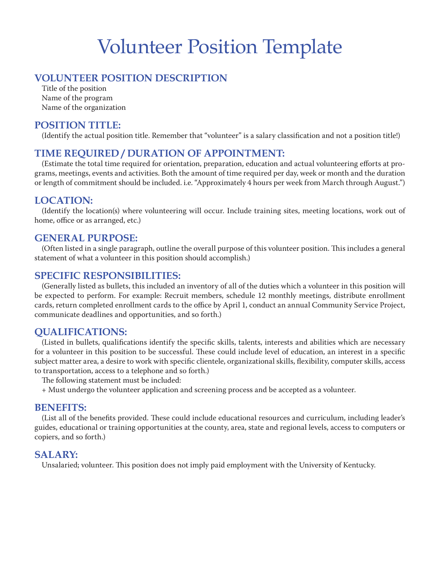# Volunteer Position Template

# **VOLUNTEER POSITION DESCRIPTION**

Title of the position Name of the program Name of the organization

#### **POSITION TITLE:**

(Identify the actual position title. Remember that "volunteer" is a salary classification and not a position title!)

#### **TIME REQUIRED / DURATION OF APPOINTMENT:**

(Estimate the total time required for orientation, preparation, education and actual volunteering efforts at programs, meetings, events and activities. Both the amount of time required per day, week or month and the duration or length of commitment should be included. i.e. "Approximately 4 hours per week from March through August.")

#### **LOCATION:**

(Identify the location(s) where volunteering will occur. Include training sites, meeting locations, work out of home, office or as arranged, etc.)

#### **GENERAL PURPOSE:**

(Often listed in a single paragraph, outline the overall purpose of this volunteer position. This includes a general statement of what a volunteer in this position should accomplish.)

#### **SPECIFIC RESPONSIBILITIES:**

(Generally listed as bullets, this included an inventory of all of the duties which a volunteer in this position will be expected to perform. For example: Recruit members, schedule 12 monthly meetings, distribute enrollment cards, return completed enrollment cards to the office by April 1, conduct an annual Community Service Project, communicate deadlines and opportunities, and so forth.)

#### **QUALIFICATIONS:**

(Listed in bullets, qualifications identify the specific skills, talents, interests and abilities which are necessary for a volunteer in this position to be successful. These could include level of education, an interest in a specific subject matter area, a desire to work with specific clientele, organizational skills, flexibility, computer skills, access to transportation, access to a telephone and so forth.)

The following statement must be included:

+ Must undergo the volunteer application and screening process and be accepted as a volunteer.

#### **BENEFITS:**

(List all of the benefits provided. These could include educational resources and curriculum, including leader's guides, educational or training opportunities at the county, area, state and regional levels, access to computers or copiers, and so forth.)

#### **SALARY:**

Unsalaried; volunteer. This position does not imply paid employment with the University of Kentucky.